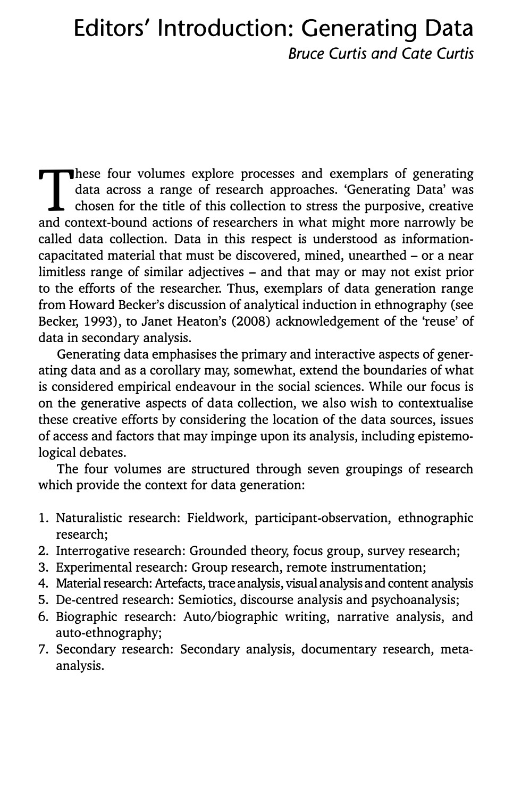# **Editors' Introduction: Generating Data**  *Bruce Curtis and Cate Curtis*

These four volumes explore processes and exemplars of generating data across a range of research approaches. 'Generating Data' was chosen for the title of this collection to stress the purposive, creative and context-bound hese four volumes explore processes and exemplars of generating data across a range of research approaches. 'Generating Data' was  $\mathsf{\mathsf{L}}$  chosen for the title of this collection to stress the purposive, creative called data collection. Data in this respect is understood as informationcapacitated material that must be discovered, mined, unearthed - or a near limitless range of similar adjectives – and that may or may not exist prior to the efforts of the researcher. Thus, exemplars of data generation range from Howard Becker's discussion of analytical induction in ethnography (see Becker, 1993), to Janet Heaton's (2008) acknowledgement of the 'reuse' of data in secondary analysis.

Generating data emphasises the primary and interactive aspects of generating data and as a corollary may, somewhat, extend the boundaries of what is considered empirical endeavour in the social sciences. While our focus is on the generative aspects of data collection, we also wish to contextualise these creative efforts by considering the location of the data sources, issues of access and factors that may impinge upon its analysis, including epistemological debates.

The four volumes are structured through seven groupings of research which provide the context for data generation:

- 1. Naturalistic research: Fieldwork, participant-observation, ethnographic research;
- 2. Interrogative research: Grounded theory, focus group, survey research;
- 3. Experimental research: Group research, remote instrumentation;
- 4. Material research: Artefacts, trace analysis, visual analysis and content analysis
- 5. De-centred research: Semiotics, discourse analysis and psychoanalysis;
- 6. Biographic research: Auto/biographic writing, narrative analysis, and auto-ethnography;
- 7. Secondary research: Secondary analysis, documentary research, metaanalysis.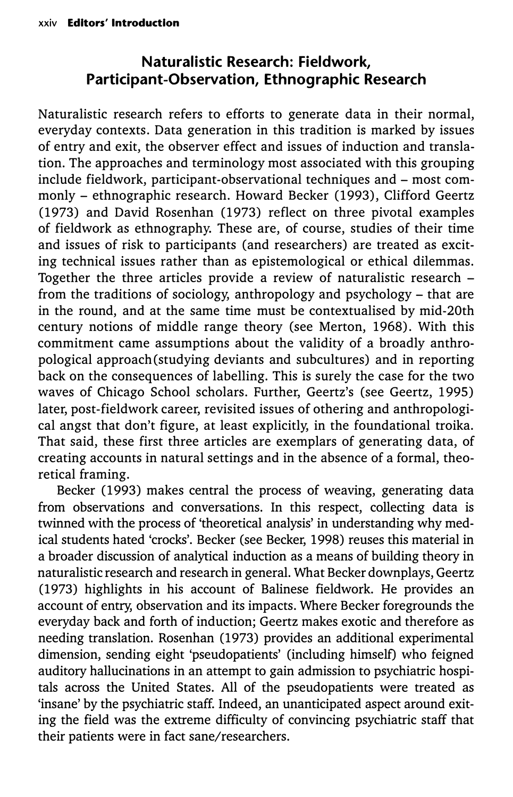# **Naturalistic Research: Fieldwork, Participant-Observation, Ethnographic Research**

Naturalistic research refers to efforts to generate data in their normal, everyday contexts. Data generation in this tradition is marked by issues of entry and exit, the observer effect and issues of induction and translation. The approaches and terminology most associated with this grouping include fieldwork, participant-observational techniques and - most commonly - ethnographic research. Howard Becker (1993), Clifford Geertz (1973) and David Rosenhan (1973) reflect on three pivotal examples of fieldwork as ethnography. These are, of course, studies of their time and issues of risk to participants (and researchers) are treated as exciting technical issues rather than as epistemological or ethical dilemmas. Together the three articles provide a review of naturalistic research from the traditions of sociology, anthropology and psychology - that are in the round, and at the same time must be contextualised by mid-20th century notions of middle range theory (see Merton, 1968). With this commitment came assumptions about the validity of a broadly anthropological approach(studying deviants and subcultures) and in reporting back on the consequences of labelling. This is surely the case for the two waves of Chicago School scholars. Further, Geertz's (see Geertz, 1995) later, post-fieldwork career, revisited issues of othering and anthropological angst that don't figure, at least explicitly, in the foundational troika. That said, these first three articles are exemplars of generating data, of creating accounts in natural settings and in the absence of a formal, theoretical framing.

Becker (1993) makes central the process of weaving, generating data from observations and conversations. In this respect, collecting data is twinned with the process of 'theoretical analysis' in understanding why medical students hated 'crocks'. Becker (see Becker, 1998) reuses this material in a broader discussion of analytical induction as a means of building theory in naturalistic research and research in general. What Becker downplays, Geertz (1973) highlights in his account of Balinese fieldwork. He provides an account of entry, observation and its impacts. Where Becker foregrounds the everyday back and forth of induction; Geertz makes exotic and therefore as needing translation. Rosenhan (1973) provides an additional experimental dimension, sending eight 'pseudopatients' (including himself) who feigned auditory hallucinations in an attempt to gain admission to psychiatric hospitals across the United States. All of the pseudopatients were treated as 'insane' by the psychiatric staff. Indeed, an unanticipated aspect around exiting the field was the extreme difficulty of convincing psychiatric staff that their patients were in fact sane/researchers.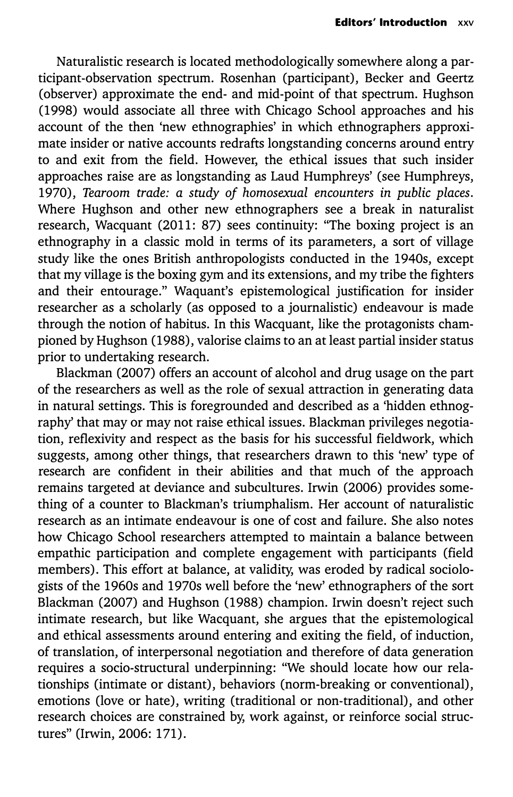Naturalistic research is located methodologically somewhere along a participant-observation spectrum. Rosenhan (participant), Becker and Geertz (observer) approximate the end- and mid-point of that spectrum. Hughson (1998) would associate all three with Chicago School approaches and his account of the then 'new ethnographies' in which ethnographers approximate insider or native accounts redrafts longstanding concerns around entry to and exit from the field. However, the ethical issues that such insider approaches raise are as longstanding as Laud Humphreys' (see Humphreys, 1970), *Tearoom trade: a study of homosexual encounters in public places.*  Where Hughson and other new ethnographers see a break in naturalist research, Wacquant (2011: 87) sees continuity: "The boxing project is an ethnography in a classic mold in terms of its parameters, a sort of village study like the ones British anthropologists conducted in the 1940s, except that my village is the boxing gym and its extensions, and my tribe the fighters and their entourage." Waquant's epistemological justification for insider researcher as a scholarly (as opposed to a journalistic) endeavour is made through the notion of habitus. In this Wacquant, like the protagonists championed by Hughson (1988), valorise claims to an at least partial insider status prior to undertaking research.

Blackman (2007) offers an account of alcohol and drug usage on the part of the researchers as well as the role of sexual attraction in generating data in natural settings. This is foregrounded and described as a 'hidden ethnography' that may or may not raise ethical issues. Blackman privileges negotiation, reflexivity and respect as the basis for his successful fieldwork, which suggests, among other things, that researchers drawn to this 'new' type of research are confident in their abilities and that much of the approach remains targeted at deviance and subcultures. Irwin (2006) provides something of a counter to Blackman's triumphalism. Her account of naturalistic research as an intimate endeavour is one of cost and failure. She also notes how Chicago School researchers attempted to maintain a balance between empathic participation and complete engagement with participants (field members). This effort at balance, at validity, was eroded by radical sociologists of the 1960s and 1970s well before the 'new' ethnographers of the sort Blackman (2007) and Hughson (1988) champion. Irwin doesn't reject such intimate research, but like Wacquant, she argues that the epistemological and ethical assessments around entering and exiting the field, of induction, of translation, of interpersonal negotiation and therefore of data generation requires a socio-structural underpinning: "We should locate how our relationships (intimate or distant), behaviors (norm-breaking or conventional), emotions (love or hate), writing (traditional or non-traditional), and other research choices are constrained by, work against, or reinforce social structures" (Irwin, 2006: 171).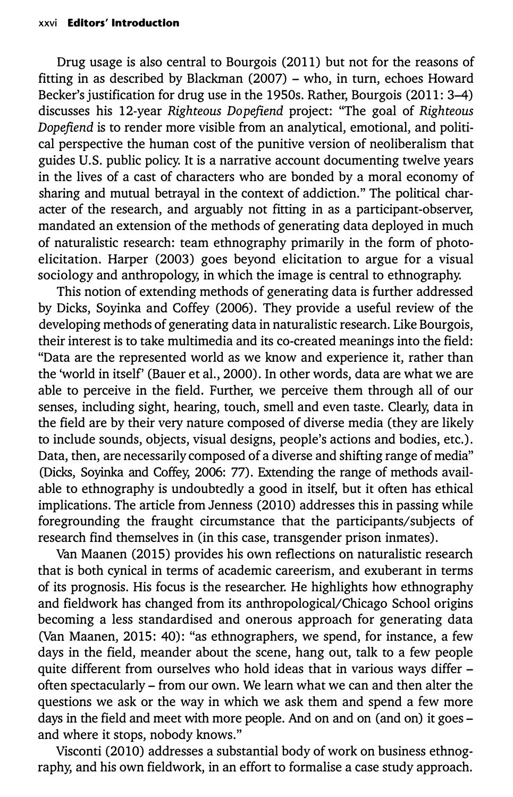Drug usage is also central to Bourgois (2011) but not for the reasons of fitting in as described by Blackman (2007) - who, in turn, echoes Howard Becker's justification for drug use in the 1950s. Rather, Bourgois (2011: 3-4) discusses his 12-year *Righteous Dopefiend* project: "The goal of *Righteous Dopefiend* is to render more visible from an analytical, emotional, and political perspective the human cost of the punitive version of neoliberalism that guides U.S. public policy. It is a narrative account documenting twelve years in the lives of a cast of characters who are bonded by a moral economy of sharing and mutual betrayal in the context of addiction." The political character of the research, and arguably not fitting in as a participant-observer, mandated an extension of the methods of generating data deployed in much of naturalistic research: team ethnography primarily in the form of photoelicitation. Harper (2003) goes beyond elicitation to argue for a visual sociology and anthropology, in which the image is central to ethnography.

This notion of extending methods of generating data is further addressed by Dicks, Soyinka and Coffey (2006). They provide a useful review of the developing methods of generating data in naturalistic research. Like Bourgois, their interest is to take multimedia and its co-created meanings into the field: "Data are the represented world as we know and experience it, rather than the 'world in itself' (Bauer et al., 2000). In other words, data are what we are able to perceive in the field. Further, we perceive them through all of our senses, including sight, hearing, touch, smell and even taste. Clearly, data in the field are by their very nature composed of diverse media (they are likely to include sounds, objects, visual designs, people's actions and bodies, etc.). Data, then, are necessarily composed of a diverse and shifting range of media" (Dicks, Soyinka and Coffey, 2006: 77). Extending the range of methods available to ethnography is undoubtedly a good in itself, but it often has ethical implications. The article from Jenness (2010) addresses this in passing while foregrounding the fraught circumstance that the participants/subjects of research find themselves in (in this case, transgender prison inmates).

Van Maanen (2015) provides his own reflections on naturalistic research that is both cynical in terms of academic careerism, and exuberant in terms of its prognosis. His focus is the researcher. He highlights how ethnography and fieldwork has changed from its anthropological/Chicago School origins becoming a less standardised and onerous approach for generating data (Van Maanen, 2015: 40): "as ethnographers, we spend, for instance, a few days in the field, meander about the scene, hang out, talk to a few people quite different from ourselves who hold ideas that in various ways differ often spectacularly - from our own. We learn what we can and then alter the questions we ask or the way in which we ask them and spend a few more days in the field and meet with more people. And on and on (and on) it goes and where it stops, nobody knows."

Visconti (2010) addresses a substantial body of work on business ethnography, and his own fieldwork, in an effort to formalise a case study approach.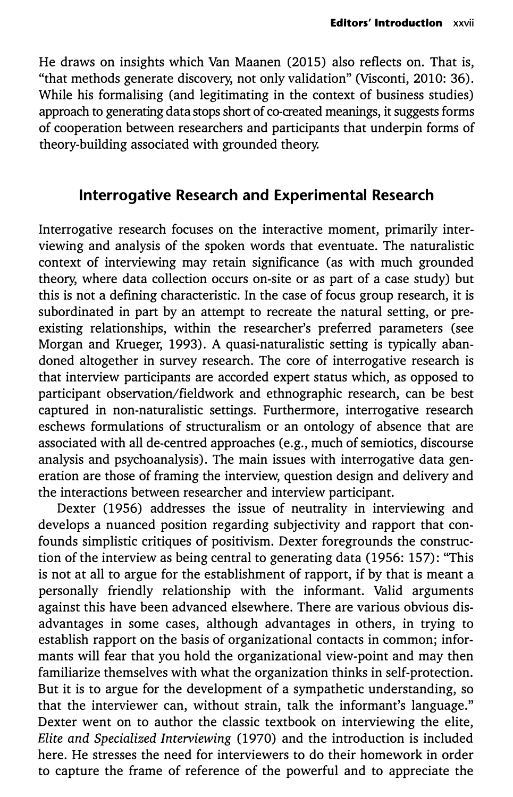He draws on insights which Van Maanen (2015) also reflects on. That is, "that methods generate discovery, not only validation" (Visconti, 2010: 36). While his formalising (and legitimating in the context of business studies) approach to generating data stops short of co-created meanings, it suggests forms of cooperation between researchers and participants that underpin forms of theory-building associated with grounded theory.

### **Interrogative Research and Experimental Research**

Interrogative research focuses on the interactive moment, primarily interviewing and analysis of the spoken words that eventuate. The naturalistic context of interviewing may retain significance (as with much grounded theory, where data collection occurs on-site or as part of a case study) but this is not a defining characteristic. In the case of focus group research, it is subordinated in part by an attempt to recreate the natural setting, or preexisting relationships, within the researcher's preferred parameters (see Morgan and Krueger, 1993). A quasi-naturalistic setting is typically abandoned altogether in survey research. The core of interrogative research is that interview participants are accorded expert status which, as opposed to participant observation/fieldwork and ethnographic research, can be best captured in non-naturalistic settings. Furthermore, interrogative research eschews formulations of structuralism or an ontology of absence that are associated with all de-centred approaches (e.g., much of semiotics, discourse analysis and psychoanalysis). The main issues with interrogative data generation are those of framing the interview, question design and delivery and the interactions between researcher and interview participant.

Dexter (1956) addresses the issue of neutrality in interviewing and develops a nuanced position regarding subjectivity and rapport that confounds simplistic critiques of positivism. Dexter foregrounds the construction of the interview as being central to generating data (1956: 157): "This is not at all to argue for the establishment of rapport, if by that is meant a personally friendly relationship with the informant. Valid arguments against this have been advanced elsewhere. There are various obvious disadvantages in some cases, although advantages in others, in trying to establish rapport on the basis of organizational contacts in common; informants will fear that you hold the organizational view-point and may then familiarize themselves with what the organization thinks in self-protection. But it is to argue for the development of a sympathetic understanding, so that the interviewer can, without strain, talk the informant's language." Dexter went on to author the classic textbook on interviewing the elite, *Elite and Specialized Interviewing* (1970) and the introduction is included here. He stresses the need for interviewers to do their homework in order to capture the frame of reference of the powerful and to appreciate the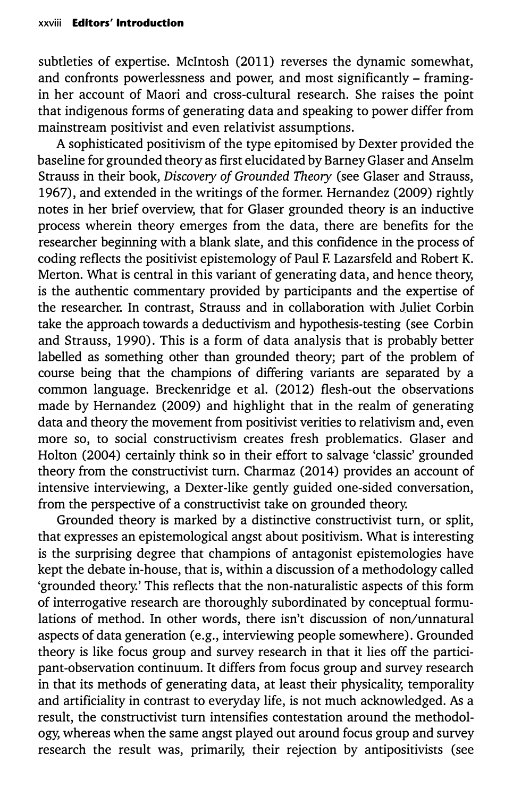subtleties of expertise. McIntosh (2011) reverses the dynamic somewhat, and confronts powerlessness and power, and most significantly - framingin her account of Maori and cross-cultural research. She raises the point that indigenous forms of generating data and speaking to power differ from mainstream positivist and even relativist assumptions.

A sophisticated positivism of the type epitomised by Dexter provided the baseline for grounded theory as first elucidated by Barney Glaser and Anselm Strauss in their book, *Discovery of Grounded Theory* (see Glaser and Strauss, 1967), and extended in the writings of the former. Hernandez (2009) rightly notes in her brief overview, that for Glaser grounded theory is an inductive process wherein theory emerges from the data, there are benefits for the researcher beginning with a blank slate, and this confidence in the process of coding reflects the positivist epistemology of Paul R Lazarsfeld and Robert K. Merton. What is central in this variant of generating data, and hence theory, is the authentic commentary provided by participants and the expertise of the researcher. In contrast, Strauss and in collaboration with Juliet Corbin take the approach towards a deductivism and hypothesis-testing (see Corbin and Strauss, 1990). This is a form of data analysis that is probably better labelled as something other than grounded theory; part of the problem of course being that the champions of differing variants are separated by a common language. Breckenridge et al. (2012) flesh-out the observations made by Hernandez (2009) and highlight that in the realm of generating data and theory the movement from positivist verities to relativism and, even more so, to social constructivism creates fresh problematics. Glaser and Holton (2004) certainly think so in their effort to salvage 'classic' grounded theory from the constructivist turn. Charmaz (2014) provides an account of intensive interviewing, a Dexter-like gently guided one-sided conversation, from the perspective of a constructivist take on grounded theory.

Grounded theory is marked by a distinctive constructivist turn, or split, that expresses an epistemological angst about positivism. What is interesting is the surprising degree that champions of antagonist epistemologies have kept the debate in-house, that is, within a discussion of a methodology called 'grounded theory.' This reflects that the non-naturalistic aspects of this form of interrogative research are thoroughly subordinated by conceptual formulations of method. In other words, there isn't discussion of non/unnatural aspects of data generation (e.g., interviewing people somewhere). Grounded theory is like focus group and survey research in that it lies off the participant-observation continuum. It differs from focus group and survey research in that its methods of generating data, at least their physicality, temporality and artificiality in contrast to everyday life, is not much acknowledged. As a result, the constructivist turn intensifies contestation around the methodology, whereas when the same angst played out around focus group and survey research the result was, primarily, their rejection by antipositivists (see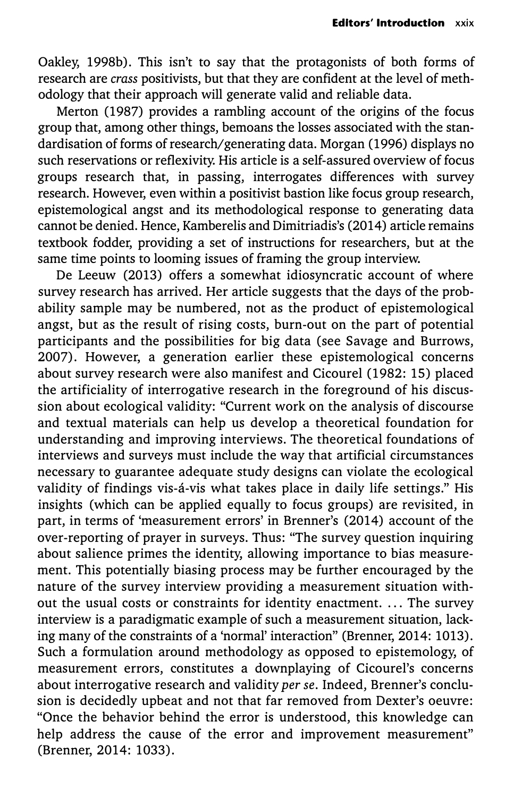Oakley, 1998b). This isn't to say that the protagonists of both forms of research are *crass* positivists, but that they are confident at the level of methodology that their approach will generate valid and reliable data.

Merton (1987) provides a rambling account of the origins of the focus group that, among other things, bemoans the losses associated with the standardisation of forms of research/generating data. Morgan (1996) displays no such reservations or reflexivity. His article is a self-assured overview of focus groups research that, in passing, interrogates differences with survey research. However, even within a positivist bastion like focus group research, epistemological angst and its methodological response to generating data cannot be denied. Hence, Kamberelis and Dimitriadis's (2014) article remains textbook fodder, providing a set of instructions for researchers, but at the same time points to looming issues of framing the group interview.

De Leeuw (2013) offers a somewhat idiosyncratic account of where survey research has arrived. Her article suggests that the days of the probability sample may be numbered, not as the product of epistemological angst, but as the result of rising costs, burn-out on the part of potential participants and the possibilities for big data (see Savage and Burrows, 2007). However, a generation earlier these epistemological concerns about survey research were also manifest and Cicourel (1982: 15) placed the artificiality of interrogative research in the foreground of his discussion about ecological validity: "Current work on the analysis of discourse and textual materials can help us develop a theoretical foundation for understanding and improving interviews. The theoretical foundations of interviews and surveys must include the way that artificial circumstances necessary to guarantee adequate study designs can violate the ecological validity of findings vis-á-vis what takes place in daily life settings." His insights (which can be applied equally to focus groups) are revisited, in part, in terms of 'measurement errors' in Brenner's (2014) account of the over-reporting of prayer in surveys. Thus: "The survey question inquiring about salience primes the identity, allowing importance to bias measurement. This potentially biasing process may be further encouraged by the nature of the survey interview providing a measurement situation without the usual costs or constraints for identity enactment. ... The survey interview is a paradigmatic example of such a measurement situation, lacking many of the constraints of a 'normal' interaction" (Brenner, 2014: 1013). Such a formulation around methodology as opposed to epistemology, of measurement errors, constitutes a downplaying of Cicourel's concerns about interrogative research and validity *per se.* Indeed, Brenner's conclusion is decidedly upbeat and not that far removed from Dexter's oeuvre: "Once the behavior behind the error is understood, this knowledge can help address the cause of the error and improvement measurement" (Brenner, 2014: 1033).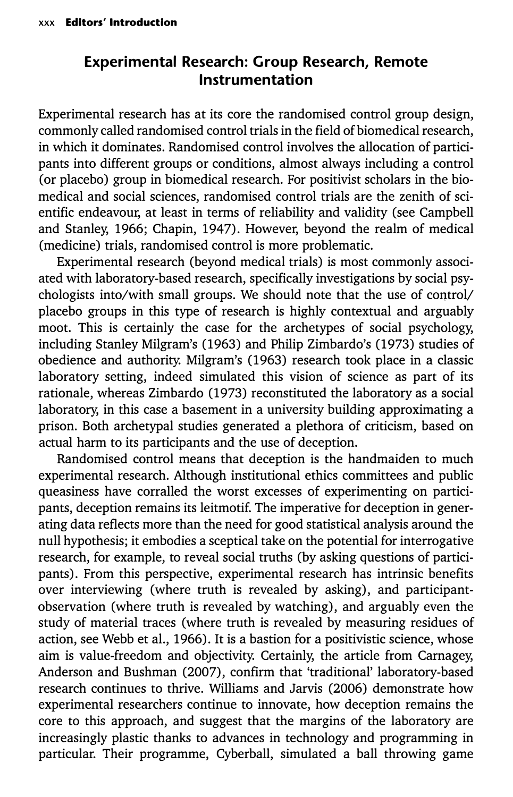## **Experimental Research: Group Research, Remote Instrumentation**

Experimental research has at its core the randomised control group design, commonly called randomised control trials in the field of biomedical research, in which it dominates. Randomised control involves the allocation of participants into different groups or conditions, almost always including a control (or placebo) group in biomedical research. For positivist scholars in the biomedical and social sciences, randomised control trials are the zenith of scientific endeavour, at least in terms of reliability and validity (see Campbell and Stanley, 1966; Chapin, 1947). However, beyond the realm of medical (medicine) trials, randomised control is more problematic.

Experimental research (beyond medical trials) is most commonly associated with laboratory-based research, specifically investigations by social psychologists into/with small groups. We should note that the use of control/ placebo groups in this type of research is highly contextual and arguably moot. This is certainly the case for the archetypes of social psychology, including Stanley Milgram's (1963) and Philip Zimbardo's (1973) studies of obedience and authority. Milgram's (1963) research took place in a classic laboratory setting, indeed simulated this vision of science as part of its rationale, whereas Zimbardo (1973) reconstituted the laboratory as a social laboratory, in this case a basement in a university building approximating a prison. Both archetypal studies generated a plethora of criticism, based on actual harm to its participants and the use of deception.

Randomised control means that deception is the handmaiden to much experimental research. Although institutional ethics committees and public queasiness have corralled the worst excesses of experimenting on participants, deception remains its leitmotif. The imperative for deception in generating data reflects more than the need for good statistical analysis around the null hypothesis; it embodies a sceptical take on the potential for interrogative research, for example, to reveal social truths (by asking questions of participants). From this perspective, experimental research has intrinsic benefits over interviewing (where truth is revealed by asking), and participantobservation (where truth is revealed by watching), and arguably even the study of material traces (where truth is revealed by measuring residues of action, see Webb et al., 1966). It is a bastion for a positivistic science, whose aim is value-freedom and objectivity. Certainly, the article from Carnagey, Anderson and Bushman (2007), confirm that 'traditional' laboratory-based research continues to thrive. Williams and Jarvis (2006) demonstrate how experimental researchers continue to innovate, how deception remains the core to this approach, and suggest that the margins of the laboratory are increasingly plastic thanks to advances in technology and programming in particular. Their programme, Cyberball, simulated a ball throwing game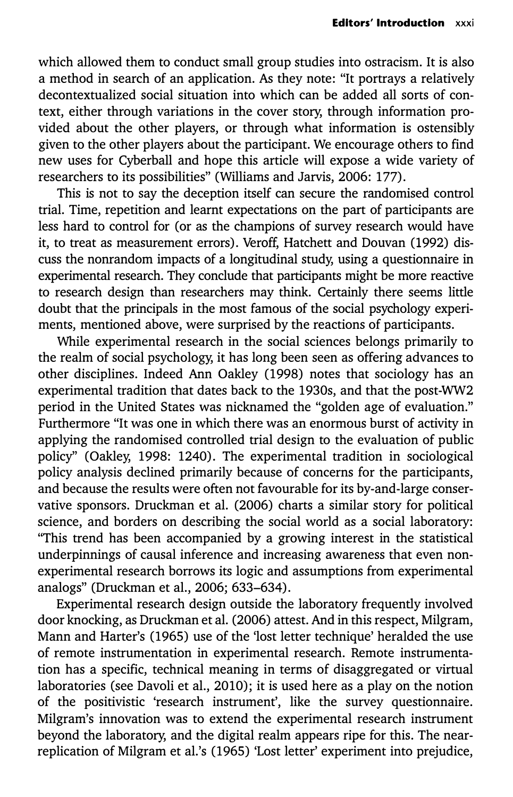which allowed them to conduct small group studies into ostracism. It is also a method in search of an application. As they note: "It portrays a relatively decontextualized social situation into which can be added all sorts of context, either through variations in the cover story, through information provided about the other players, or through what information is ostensibly given to the other players about the participant. We encourage others to find new uses for Cyberball and hope this article will expose a wide variety of researchers to its possibilities" (Williams and Jarvis, 2006: 177).

This is not to say the deception itself can secure the randomised control trial. Time, repetition and learnt expectations on the part of participants are less hard to control for (or as the champions of survey research would have it, to treat as measurement errors). Veroff, Hatchett and Douvan (1992) discuss the nonrandom impacts of a longitudinal study, using a questionnaire in experimental research. They conclude that participants might be more reactive to research design than researchers may think. Certainly there seems little doubt that the principals in the most famous of the social psychology experiments, mentioned above, were surprised by the reactions of participants.

While experimental research in the social sciences belongs primarily to the realm of social psychology, it has long been seen as offering advances to other disciplines. Indeed Ann Oakley (1998) notes that sociology has an experimental tradition that dates back to the 1930s, and that the post-WW2 period in the United States was nicknamed the "golden age of evaluation." Furthermore "It was one in which there was an enormous burst of activity in applying the randomised controlled trial design to the evaluation of public policy'' (Oakley, 1998: 1240). The experimental tradition in sociological policy analysis declined primarily because of concerns for the participants, and because the results were often not favourable for its by-and-large conservative sponsors. Druckman et al. (2006) charts a similar story for political science, and borders on describing the social world as a social laboratory: "This trend has been accompanied by a growing interest in the statistical underpinnings of causal inference and increasing awareness that even nonexperimental research borrows its logic and assumptions from experimental analogs" (Druckman et al., 2006; 633-634).

Experimental research design outside the laboratory frequently involved door knocking, as Druckman et al. (2006) attest. And in this respect, Milgram, Mann and Harter's (1965) use of the 'lost letter technique' heralded the use of remote instrumentation in experimental research. Remote instrumentation has a specific, technical meaning in terms of disaggregated or virtual laboratories (see Davoli et al., 2010); it is used here as a play on the notion of the positivistic 'research instrument', like the survey questionnaire. Milgram's innovation was to extend the experimental research instrument beyond the laboratory, and the digital realm appears ripe for this. The nearreplication of Milgram et al.'s (1965) 'Lost letter' experiment into prejudice,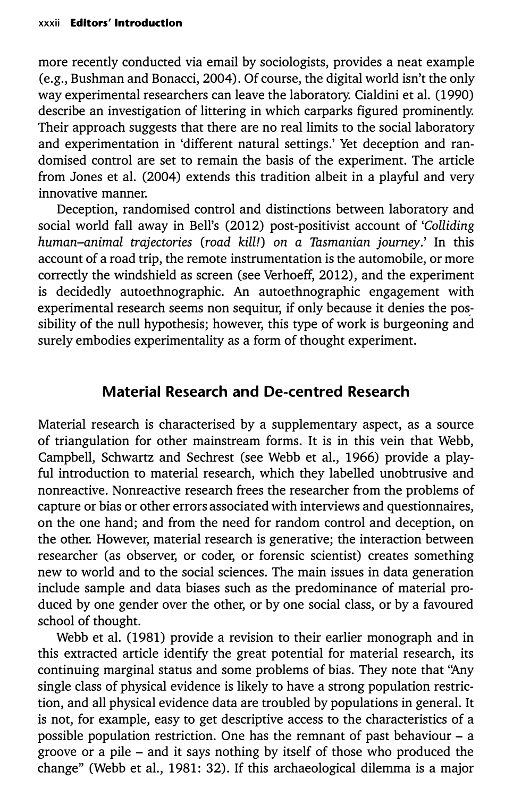more recently conducted via email by sociologists, provides a neat example (e.g., Bushman and Bonacci, 2004). Of course, the digital world isn't the only way experimental researchers can leave the laboratory. Cialdini et al. (1990) describe an investigation of littering in which carparks figured prominently. Their approach suggests that there are no real limits to the social laboratory and experimentation in 'different natural settings.' Yet deception and randomised control are set to remain the basis of the experiment. The article from Jones et al. (2004) extends this tradition albeit in a playful and very innovative manner.

Deception, randomised control and distinctions between laboratory and social world fall away in Bell's (2012) post-positivist account of *'Colliding human-animal trajectories (road kill!) on a Tasmanian journey.'* In this account of a road trip, the remote instrumentation is the automobile, or more correctly the windshield as screen (see Verhoeff, 2012), and the experiment is decidedly autoethnographic. An autoethnographic engagement with experimental research seems non sequitur, if only because it denies the possibility of the null hypothesis; however, this type of work is burgeoning and surely embodies experimentality as a form of thought experiment.

#### **Material Research and De-centred Research**

Material research is characterised by a supplementary aspect, as a source of triangulation for other mainstream forms. It is in this vein that Webb, Campbell, Schwartz and Sechrest (see Webb et al., 1966) provide a playful introduction to material research, which they labelled unobtrusive and nonreactive. Nonreactive research frees the researcher from the problems of capture or bias or other errors associated with interviews and questionnaires, on the one hand; and from the need for random control and deception, on the other. However, material research is generative; the interaction between researcher (as observer, or coder, or forensic scientist) creates something new to world and to the social sciences. The main issues in data generation include sample and data biases such as the predominance of material produced by one gender over the other, or by one social class, or by a favoured school of thought.

Webb et al. (1981) provide a revision to their earlier monograph and in this extracted article identify the great potential for material research, its continuing marginal status and some problems of bias. They note that ''Any single class of physical evidence is likely to have a strong population restriction, and all physical evidence data are troubled by populations in general. It is not, for example, easy to get descriptive access to the characteristics of a possible population restriction. One has the remnant of past behaviour - a groove or a pile - and it says nothing by itself of those who produced the change" (Webb et al., 1981: 32). If this archaeological dilemma is a major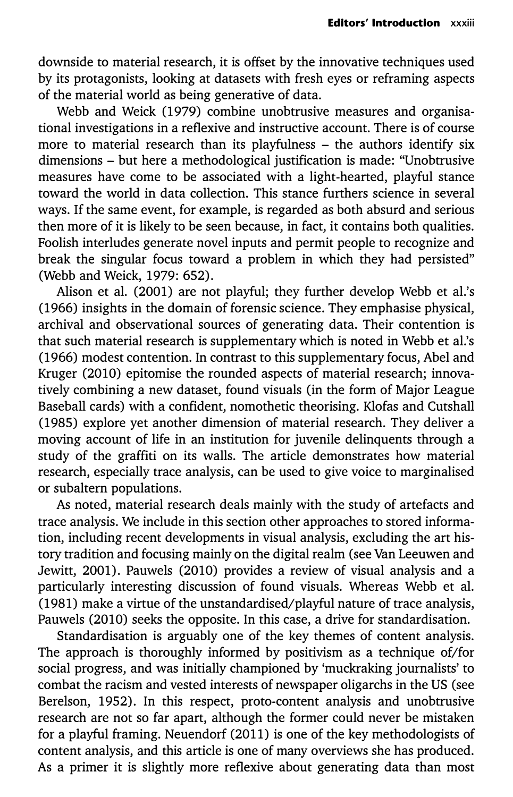downside to material research, it is offset by the innovative techniques used by its protagonists, looking at datasets with fresh eyes or reframing aspects of the material world as being generative of data.

Webb and Weick (1979) combine unobtrusive measures and organisational investigations in a reflexive and instructive account. There is of course more to material research than its playfulness - the authors identify six dimensions - but here a methodological justification is made: "Unobtrusive measures have come to be associated with a light-hearted, playful stance toward the world in data collection. This stance furthers science in several ways. If the same event, for example, is regarded as both absurd and serious then more of it is likely to be seen because, in fact, it contains both qualities. Foolish interludes generate novel inputs and permit people to recognize and break the singular focus toward a problem in which they had persisted" (Webb and Weick, 1979: 652).

Alison et al. (2001) are not playful; they further develop Webb et al.'s (1966) insights in the domain of forensic science. They emphasise physical, archival and observational sources of generating data. Their contention is that such material research is supplementary which is noted in Webb et al.'s (1966) modest contention. In contrast to this supplementary focus, Abel and Kruger (2010) epitomise the rounded aspects of material research; innovatively combining a new dataset, found visuals (in the form of Major League Baseball cards) with a confident, nomothetic theorising. Klofas and Cutshall (1985) explore yet another dimension of material research. They deliver a moving account of life in an institution for juvenile delinquents through a study of the graffiti on its walls. The article demonstrates how material research, especially trace analysis, can be used to give voice to marginalised or subaltern populations.

As noted, material research deals mainly with the study of artefacts and trace analysis. We include in this section other approaches to stored information, including recent developments in visual analysis, excluding the art history tradition and focusing mainly on the digital realm (see Van Leeuwen and Jewitt, 2001). Pauwels (2010) provides a review of visual analysis and a particularly interesting discussion of found visuals. Whereas Webb et al. (1981) make a virtue of the unstandardised/playful nature of trace analysis, Pauwels (2010) seeks the opposite. In this case, a drive for standardisation.

Standardisation is arguably one of the key themes of content analysis. The approach is thoroughly informed by positivism as a technique of/for social progress, and was initially championed by 'muckraking journalists' to combat the racism and vested interests of newspaper oligarchs in the US (see Berelson, 1952). In this respect, proto-content analysis and unobtrusive research are not so far apart, although the former could never be mistaken for a playful framing. Neuendorf (2011) is one of the key methodologists of content analysis, and this article is one of many overviews she has produced. As a primer it is slightly more reflexive about generating data than most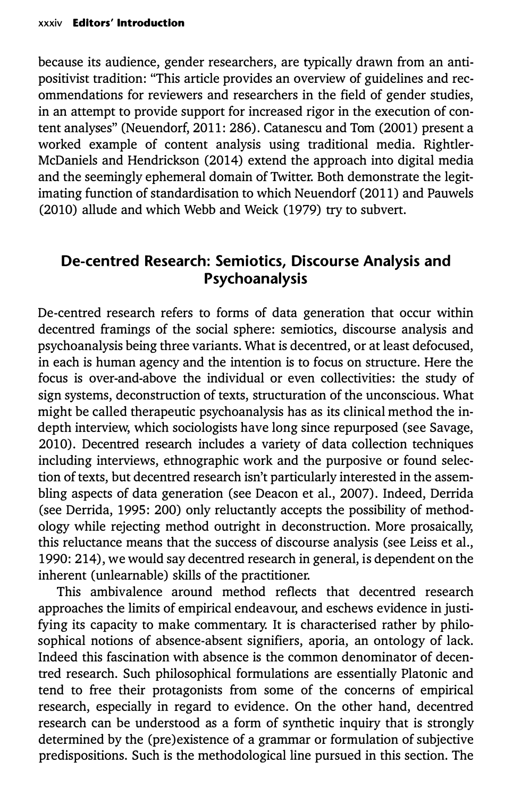because its audience, gender researchers, are typically drawn from an antipositivist tradition: "This article provides an overview of guidelines and recommendations for reviewers and researchers in the field of gender studies, in an attempt to provide support for increased rigor in the execution of content analyses" (Neuendorf, 2011: 286). Catanescu and Tom (2001) present a worked example of content analysis using traditional media. Rightler-McDaniels and Hendrickson (2014) extend the approach into digital media and the seemingly ephemeral domain of Twitter. Both demonstrate the legitimating function of standardisation to which Neuendorf (2011) and Pauwels (2010) allude and which Webb and Weick (1979) try to subvert.

## **De-centred Research: Semiotics, Discourse Analysis and Psychoanalysis**

De-centred research refers to forms of data generation that occur within decentred framings of the social sphere: semiotics, discourse analysis and psychoanalysis being three variants. What is decentred, or at least defocused, in each is human agency and the intention is to focus on structure. Here the focus is over-and-above the individual or even collectivities: the study of sign systems, deconstruction of texts, structuration of the unconscious. What might be called therapeutic psychoanalysis has as its clinical method the indepth interview, which sociologists have long since repurposed (see Savage, 2010). Decentred research includes a variety of data collection techniques including interviews, ethnographic work and the purposive or found selection of texts, but decentred research isn't particularly interested in the assembling aspects of data generation (see Deacon et al., 2007). Indeed, Derrida (see Derrida, 1995: 200) only reluctantly accepts the possibility of methodology while rejecting method outright in deconstruction. More prosaically, this reluctance means that the success of discourse analysis (see Leiss et al., 1990: 214), we would say decentred research in general, is dependent on the inherent (unlearnable) skills of the practitioner.

This ambivalence around method reflects that decentred research approaches the limits of empirical endeavour, and eschews evidence in justifying its capacity to make commentary. It is characterised rather by philosophical notions of absence-absent signifiers, aporia, an ontology of lack. Indeed this fascination with absence is the common denominator of decentred research. Such philosophical formulations are essentially Platonic and tend to free their protagonists from some of the concerns of empirical research, especially in regard to evidence. On the other hand, decentred research can be understood as a form of synthetic inquiry that is strongly determined by the (pre)existence of a grammar or formulation of subjective predispositions. Such is the methodological line pursued in this section. The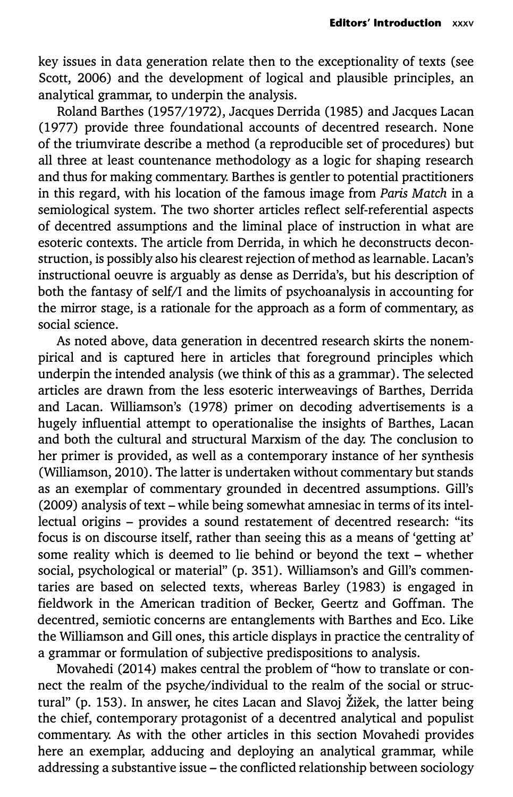key issues in data generation relate then to the exceptionality of texts (see Scott, 2006) and the development of logical and plausible principles, an analytical grammar, to underpin the analysis.

Roland Barthes (1957/1972), Jacques Derrida (1985) and Jacques Lacan (1977) provide three foundational accounts of decentred research. None of the triumvirate describe a method (a reproducible set of procedures) but all three at least countenance methodology as a logic for shaping research and thus for making commentary. Barthes is gentler to potential practitioners in this regard, with his location of the famous image from *Paris Match* in a semiological system. The two shorter articles reflect self-referential aspects of decentred assumptions and the liminal place of instruction in what are esoteric contexts. The article from Derrida, in which he deconstructs deconstruction, is possibly also his clearest rejection of method as learnable. Lacan's instructional oeuvre is arguably as dense as Derrida's, but his description of both the fantasy of self/I and the limits of psychoanalysis in accounting for the mirror stage, is a rationale for the approach as a form of commentary, as social science.

As noted above, data generation in decentred research skirts the nonempirical and is captured here in articles that foreground principles which underpin the intended analysis (we think of this as a grammar). The selected articles are drawn from the less esoteric interweavings of Barthes, Derrida and Lacan. Williamson's (1978) primer on decoding advertisements is a hugely influential attempt to operationalise the insights of Barthes, Lacan and both the cultural and structural Marxism of the day. The conclusion to her primer is provided, as well as a contemporary instance of her synthesis (Williamson, 2010). The latter is undertaken without commentary but stands as an exemplar of commentary grounded in decentred assumptions. Gill's (2009) analysis of text - while being somewhat amnesiac in terms of its intellectual origins - provides a sound restatement of decentred research: "its focus is on discourse itself, rather than seeing this as a means of 'getting at' some reality which is deemed to lie behind or beyond the text - whether social, psychological or material" (p. 351). Williamson's and Gill's commentaries are based on selected texts, whereas Barley (1983) is engaged in fieldwork in the American tradition of Becker, Geertz and Goffman. The decentred, semiotic concerns are entanglements with Barthes and Eco. Like the Williamson and Gill ones, this article displays in practice the centrality of a grammar or formulation of subjective predispositions to analysis.

Movahedi (2014) makes central the problem of "how to translate or connect the realm of the psyche/individual to the realm of the social or structural" (p. 153). In answer, he cites Lacan and Slavoj Žižek, the latter being the chief, contemporary protagonist of a decentred analytical and populist commentary. As with the other articles in this section Movahedi provides here an exemplar, adducing and deploying an analytical grammar, while addressing a substantive issue - the conflicted relationship between sociology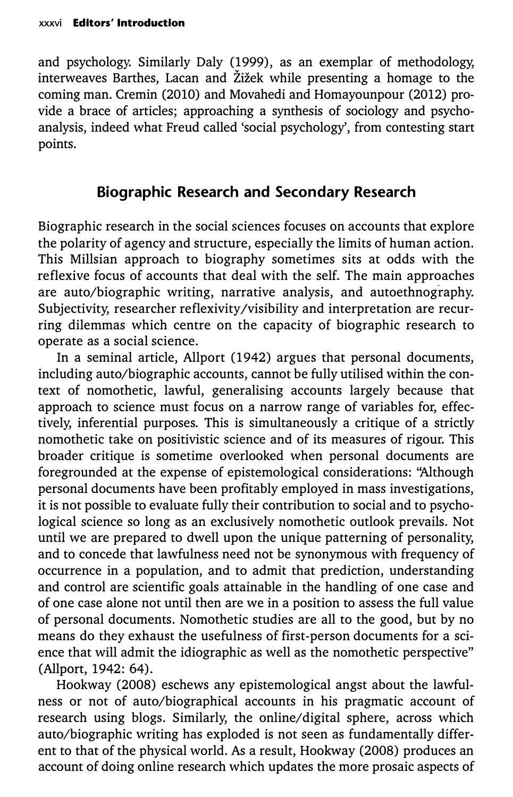and psychology. Similarly Daly (1999), as an exemplar of methodology, interweaves Barthes, Lacan and Zizek while presenting a homage to the coming man. Cremin (2010) and Movahedi and Homayounpour (2012) provide a brace of articles; approaching a synthesis of sociology and psychoanalysis, indeed what Freud called 'social psychology', from contesting start points.

## **Biographic Research and Secondary Research**

Biographic research in the social sciences focuses on accounts that explore the polarity of agency and structure, especially the limits of human action. This Millsian approach to biography sometimes sits at odds with the reflexive focus of accounts that deal with the self. The main approaches are auto/biographic writing, narrative analysis, and autoethnography. Subjectivity, researcher reflexivity/visibility and interpretation are recurring dilemmas which centre on the capacity of biographic research to operate as a social science.

In a seminal article, Allport (1942) argues that personal documents, including auto/biographic accounts, cannot be fully utilised within the context of nomothetic, lawful, generalising accounts largely because that approach to science must focus on a narrow range of variables for, effectively, inferential purposes. This is simultaneously a critique of a strictly nomothetic take on positivistic science and of its measures of rigour. This broader critique is sometime overlooked when personal documents are foregrounded at the expense of epistemological considerations: "Although personal documents have been profitably employed in mass investigations, it is not possible to evaluate fully their contribution to social and to psychological science so long as an exclusively nomothetic outlook prevails. Not until we are prepared to dwell upon the unique patterning of personality, and to concede that lawfulness need not be synonymous with frequency of occurrence in a population, and to admit that prediction, understanding and control are scientific goals attainable in the handling of one case and of one case alone not until then are we in a position to assess the full value of personal documents. Nomothetic studies are all to the good, but by no means do they exhaust the usefulness of first-person documents for a science that will admit the idiographic as well as the nomothetic perspective" (Allport, 1942: 64).

Hookway (2008) eschews any epistemological angst about the lawfulness or not of auto/biographical accounts in his pragmatic account of research using blogs. Similarly, the online/digital sphere, across which auto/biographic writing has exploded is not seen as fundamentally different to that of the physical world. As a result, Hookway (2008) produces an account of doing online research which updates the more prosaic aspects of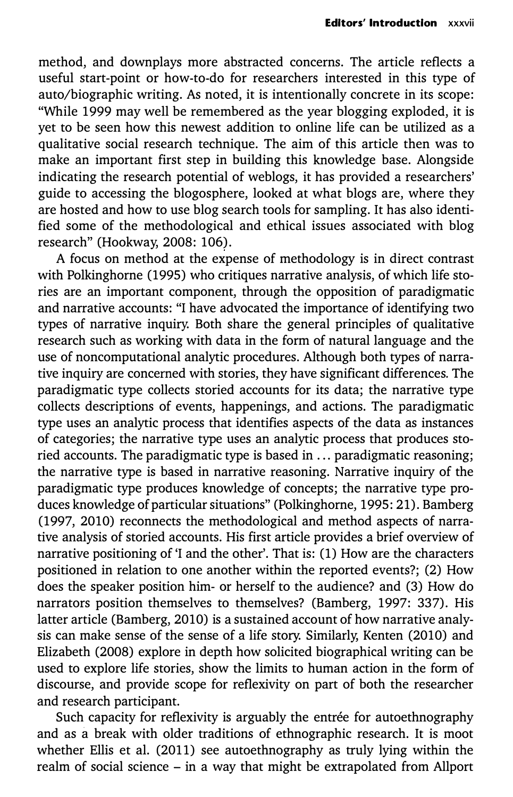method, and downplays more abstracted concerns. The article reflects a useful start-point or how-to-do for researchers interested in this type of auto/biographic writing. As noted, it is intentionally concrete in its scope: "While 1999 may well be remembered as the year blogging exploded, it is yet to be seen how this newest addition to online life can be utilized as a qualitative social research technique. The aim of this article then was to make an important first step in building this knowledge base. Alongside indicating the research potential of weblogs, it has provided a researchers' guide to accessing the blogosphere, looked at what blogs are, where they are hosted and how to use blog search tools for sampling. It has also identified some of the methodological and ethical issues associated with blog research" (Hookway, 2008: 106).

A focus on method at the expense of methodology is in direct contrast with Polkinghorne (1995) who critiques narrative analysis, of which life stories are an important component, through the opposition of paradigmatic and narrative accounts: "I have advocated the importance of identifying two types of narrative inquiry. Both share the general principles of qualitative research such as working with data in the form of natural language and the use of noncomputational analytic procedures. Although both types of narrative inquiry are concerned with stories, they have significant differences. The paradigmatic type collects storied accounts for its data; the narrative type collects descriptions of events, happenings, and actions. The paradigmatic type uses an analytic process that identifies aspects of the data as instances of categories; the narrative type uses an analytic process that produces storied accounts. The paradigmatic type is based in ... paradigmatic reasoning; the narrative type is based in narrative reasoning. Narrative inquiry of the paradigmatic type produces knowledge of concepts; the narrative type produces knowledge of particular situations" (Polkinghorne, 1995: 21). Bamberg (1997, 2010) reconnects the methodological and method aspects of narrative analysis of storied accounts. His first article provides a brief overview of narrative positioning of 'I and the other'. That is: (1) How are the characters positioned in relation to one another within the reported events?; (2) How does the speaker position him- or herself to the audience? and (3) How do narrators position themselves to themselves? (Bamberg, 1997: 337). His latter article (Bamberg, 2010) is a sustained account of how narrative analysis can make sense of the sense of a life story. Similarly, Kenten (2010) and Elizabeth (2008) explore in depth how solicited biographical writing can be used to explore life stories, show the limits to human action in the form of discourse, and provide scope for reflexivity on part of both the researcher and research participant.

Such capacity for reflexivity is arguably the entrée for autoethnography and as a break with older traditions of ethnographic research. It is moot whether Ellis et al. (2011) see autoethnography as truly lying within the realm of social science - in a way that might be extrapolated from Allport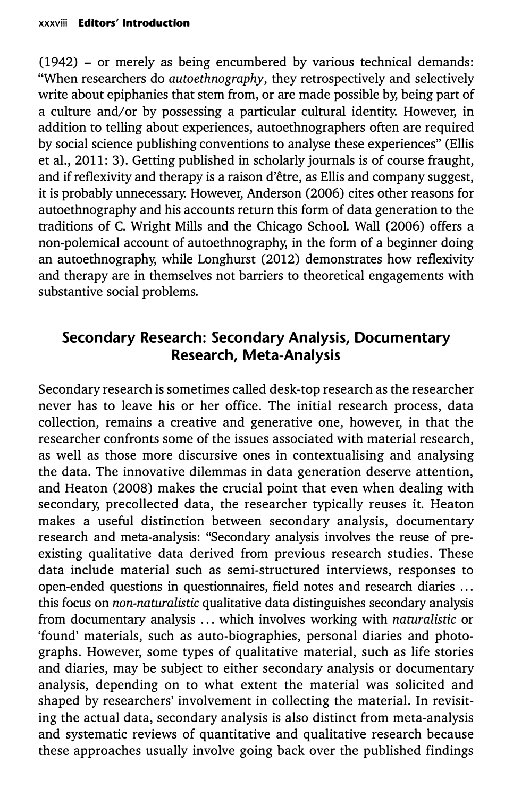(1942) - or merely as being encumbered by various technical demands: "When researchers do *autoethnography,* they retrospectively and selectively write about epiphanies that stem from, or are made possible by, being part of a culture and/or by possessing a particular cultural identity. However, in addition to telling about experiences, autoethnographers often are required by social science publishing conventions to analyse these experiences" (Ellis et al., 2011: 3). Getting published in scholarly journals is of course fraught, and if reflexivity and therapy is a raison d'etre, as Ellis and company suggest, it is probably unnecessary. However, Anderson (2006) cites other reasons for autoethnography and his accounts return this form of data generation to the traditions of C. Wright Mills and the Chicago School. Wall (2006) offers a non-polemical account of autoethnography, in the form of a beginner doing an autoethnography, while Longhurst (2012) demonstrates how reflexivity and therapy are in themselves not barriers to theoretical engagements with substantive social problems.

## **Secondary Research: Secondary Analysis, Documentary Research, Meta-Analysis**

Secondary research is sometimes called desk-top research as the researcher never has to leave his or her office. The initial research process, data collection, remains a creative and generative one, however, in that the researcher confronts some of the issues associated with material research, as well as those more discursive ones in contextualising and analysing the data. The innovative dilemmas in data generation deserve attention, and Heaton (2008) makes the crucial point that even when dealing with secondary, precollected data, the researcher typically reuses it. Heaton makes a useful distinction between secondary analysis, documentary research and meta-analysis: "Secondary analysis involves the reuse of preexisting qualitative data derived from previous research studies. These data include material such as semi-structured interviews, responses to open-ended questions in questionnaires, field notes and research diaries ... this focus on *non-naturalistic* qualitative data distinguishes secondary analysis from documentary analysis ... which involves working with *naturalistic* or 'found' materials, such as auto-biographies, personal diaries and photographs. However, some types of qualitative material, such as life stories and diaries, may be subject to either secondary analysis or documentary analysis, depending on to what extent the material was solicited and shaped by researchers' involvement in collecting the material. In revisiting the actual data, secondary analysis is also distinct from meta-analysis and systematic reviews of quantitative and qualitative research because these approaches usually involve going back over the published findings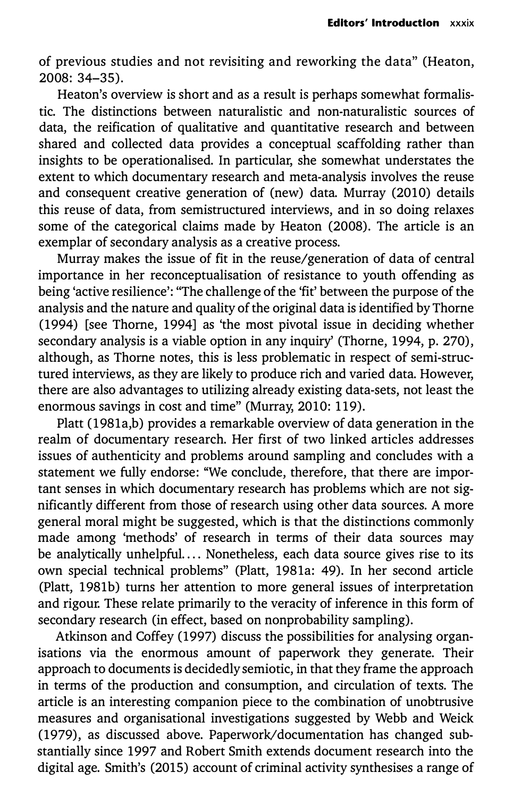of previous studies and not revisiting and reworking the data" (Heaton, 2008: 34-35).

Heaton's overview is short and as a result is perhaps somewhat formalistic. The distinctions between naturalistic and non-naturalistic sources of data, the reification of qualitative and quantitative research and between shared and collected data provides a conceptual scaffolding rather than insights to be operationalised. In particular, she somewhat understates the extent to which documentary research and meta-analysis involves the reuse and consequent creative generation of (new) data. Murray (2010) details this reuse of data, from semistructured interviews, and in so doing relaxes some of the categorical claims made by Heaton (2008). The article is an exemplar of secondary analysis as a creative process.

Murray makes the issue of fit in the reuse/generation of data of central importance in her reconceptualisation of resistance to youth offending as being 'active resilience': "The challenge of the 'fit' between the purpose of the analysis and the nature and quality of the original data is identified by Thorne (1994) [see Thorne, 1994] as 'the most pivotal issue in deciding whether secondary analysis is a viable option in any inquiry' (Thorne, 1994, p. 270), although, as Thorne notes, this is less problematic in respect of semi-structured interviews, as they are likely to produce rich and varied data. However, there are also advantages to utilizing already existing data-sets, not least the enormous savings in cost and time" (Murray, 2010: 119).

Platt (1981a,b) provides a remarkable overview of data generation in the realm of documentary research. Her first of two linked articles addresses issues of authenticity and problems around sampling and concludes with a statement we fully endorse: "We conclude, therefore, that there are important senses in which documentary research has problems which are not significantly different from those of research using other data sources. A more general moral might be suggested, which is that the distinctions commonly made among 'methods' of research in terms of their data sources may be analytically unhelpful. ... Nonetheless, each data source gives rise to its own special technical problems" (Platt, 1981a: 49). In her second article (Platt, 1981b) turns her attention to more general issues of interpretation and rigour. These relate primarily to the veracity of inference in this form of secondary research (in effect, based on nonprobability sampling).

Atkinson and Coffey (1997) discuss the possibilities for analysing organisations via the enormous amount of paperwork they generate. Their approach to documents is decidedly semiotic, in that they frame the approach in terms of the production and consumption, and circulation of texts. The article is an interesting companion piece to the combination of unobtrusive measures and organisational investigations suggested by Webb and Weick (1979), as discussed above. Paperwork/documentation has changed substantially since 1997 and Robert Smith extends document research into the digital age. Smith's (2015) account of criminal activity synthesises a range of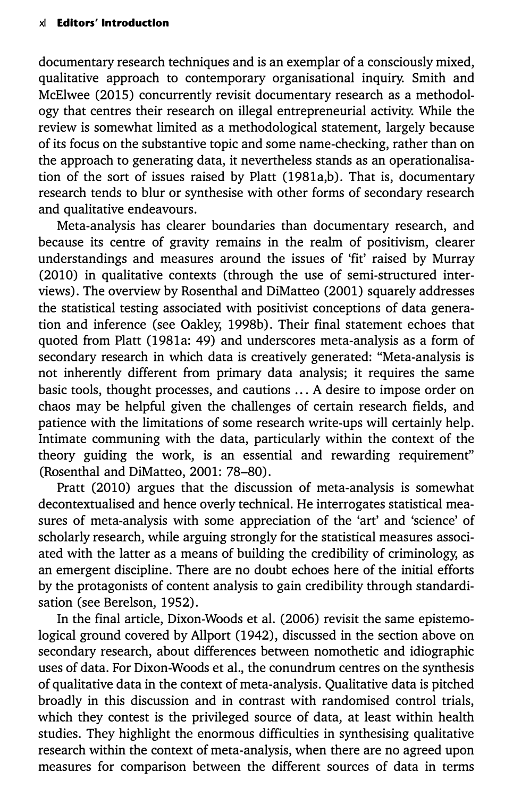documentary research techniques and is an exemplar of a consciously mixed, qualitative approach to contemporary organisational inquiry. Smith and McElwee (2015) concurrently revisit documentary research as a methodology that centres their research on illegal entrepreneurial activity. While the review is somewhat limited as a methodological statement, largely because of its focus on the substantive topic and some name-checking, rather than on the approach to generating data, it nevertheless stands as an operationalisation of the sort of issues raised by Platt (1981a,b). That is, documentary research tends to blur or synthesise with other forms of secondary research and qualitative endeavours.

Meta-analysis has clearer boundaries than documentary research, and because its centre of gravity remains in the realm of positivism, clearer understandings and measures around the issues of 'fit' raised by Murray (2010) in qualitative contexts (through the use of semi-structured interviews). The overview by Rosenthal and DiMatteo (2001) squarely addresses the statistical testing associated with positivist conceptions of data generation and inference (see Oakley, 1998b). Their final statement echoes that quoted from Platt (1981a: 49) and underscores meta-analysis as a form of secondary research in which data is creatively generated: "Meta-analysis is not inherently different from primary data analysis; it requires the same basic tools, thought processes, and cautions ... A desire to impose order on chaos may be helpful given the challenges of certain research fields, and patience with the limitations of some research write-ups will certainly help. Intimate communing with the data, particularly within the context of the theory guiding the work, is an essential and rewarding requirement" (Rosenthal and DiMatteo, 2001: 78-80).

Pratt (2010) argues that the discussion of meta-analysis is somewhat decontextualised and hence overly technical. He interrogates statistical measures of meta-analysis with some appreciation of the 'art' and 'science' of scholarly research, while arguing strongly for the statistical measures associated with the latter as a means of building the credibility of criminology, as an emergent discipline. There are no doubt echoes here of the initial efforts by the protagonists of content analysis to gain credibility through standardisation (see Berelson, 1952).

In the final article, Dixon-Woods et al. (2006) revisit the same epistemological ground covered by Allport (1942), discussed in the section above on secondary research, about differences between nomothetic and idiographic uses of data. For Dixon-Woods et al., the conundrum centres on the synthesis of qualitative data in the context of meta-analysis. Qualitative data is pitched broadly in this discussion and in contrast with randomised control trials, which they contest is the privileged source of data, at least within health studies. They highlight the enormous difficulties in synthesising qualitative research within the context of meta-analysis, when there are no agreed upon measures for comparison between the different sources of data in terms